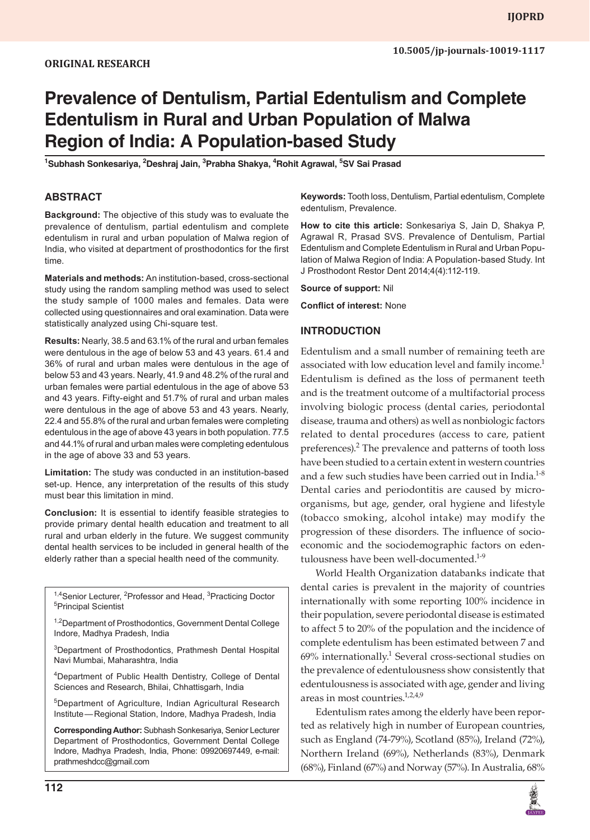# **Prevalence of Dentulism, Partial Edentulism and Complete Edentulism in Rural and Urban Population of Malwa Region of India: A Population-based Study**

<sup>1</sup>Subhash Sonkesariya, <sup>2</sup>Deshraj Jain, <sup>3</sup>Prabha Shakya, <sup>4</sup>Rohit Agrawal, <sup>5</sup>SV Sai Prasad

## **ABSTRACT**

**Background:** The objective of this study was to evaluate the prevalence of dentulism, partial edentulism and complete edentulism in rural and urban population of Malwa region of India, who visited at department of prosthodontics for the first time.

**Materials and methods:** An institution-based, cross-sectional study using the random sampling method was used to select the study sample of 1000 males and females. Data were collected using questionnaires and oral examination. Data were statistically analyzed using Chi-square test.

**Results:** Nearly, 38.5 and 63.1% of the rural and urban females were dentulous in the age of below 53 and 43 years. 61.4 and 36% of rural and urban males were dentulous in the age of below 53 and 43 years. Nearly, 41.9 and 48.2% of the rural and urban females were partial edentulous in the age of above 53 and 43 years. Fifty-eight and 51.7% of rural and urban males were dentulous in the age of above 53 and 43 years. Nearly, 22.4 and 55.8% of the rural and urban females were completing edentulous in the age of above 43 years in both population. 77.5 and 44.1% of rural and urban males were completing edentulous in the age of above 33 and 53 years.

**Limitation:** The study was conducted in an institution-based set-up. Hence, any interpretation of the results of this study must bear this limitation in mind.

**Conclusion:** It is essential to identify feasible strategies to provide primary dental health education and treatment to all rural and urban elderly in the future. We suggest community dental health services to be included in general health of the elderly rather than a special health need of the community.

<sup>1,4</sup>Senior Lecturer, <sup>2</sup>Professor and Head, <sup>3</sup>Practicing Doctor<br><sup>5</sup>Principal Scientist <sup>5</sup>Principal Scientist

<sup>1,2</sup>Department of Prosthodontics, Government Dental College Indore, Madhya Pradesh, India

3 Department of Prosthodontics, Prathmesh Dental Hospital Navi Mumbai, Maharashtra, India

4 Department of Public Health Dentistry, College of Dental Sciences and Research, Bhilai, Chhattisgarh, India

5Department of Agriculture, Indian Agricultural Research Institute—Regional Station, Indore, Madhya Pradesh, India

**Corresponding Author:** Subhash Sonkesariya, Senior Lecturer Department of Prosthodontics, Government Dental College Indore, Madhya Pradesh, India, Phone: 09920697449, e-mail: prathmeshdcc@gmail.com

**Keywords:** Tooth loss, Dentulism, Partial edentulism, Complete edentulism, Prevalence.

**How to cite this article:** Sonkesariya S, Jain D, Shakya P, Agrawal R, Prasad SVS. Prevalence of Dentulism, Partial Edentulism and Complete Edentulism in Rural and Urban Population of Malwa Region of India: A Population-based Study. Int J Prosthodont Restor Dent 2014;4(4):112-119.

**Source of support:** Nil

**Conflict of interest:** None

#### **INTRODUCTION**

Edentulism and a small number of remaining teeth are associated with low education level and family income.<sup>1</sup> Edentulism is defined as the loss of permanent teeth and is the treatment outcome of a multifactorial process involving biologic process (dental caries, periodontal disease, trauma and others) as well as nonbiologic factors related to dental procedures (access to care, patient preferences).<sup>2</sup> The prevalence and patterns of tooth loss have been studied to a certain extent in western countries and a few such studies have been carried out in India. $1-8$ Dental caries and periodontitis are caused by microorganisms, but age, gender, oral hygiene and lifestyle (tobacco smoking, alcohol intake) may modify the progression of these disorders. The influence of socioeconomic and the sociodemographic factors on edentulousness have been well-documented.<sup>1-9</sup>

World Health Organization databanks indicate that dental caries is prevalent in the majority of countries internationally with some reporting 100% incidence in their population, severe periodontal disease is estimated to affect 5 to 20% of the population and the incidence of complete edentulism has been estimated between 7 and  $69\%$  internationally.<sup>1</sup> Several cross-sectional studies on the prevalence of edentulousness show consistently that edentulousness is associated with age, gender and living areas in most countries.<sup>1,2,4,9</sup>

Edentulism rates among the elderly have been reported as relatively high in number of European countries, such as England (74-79%), Scotland (85%), Ireland (72%), Northern Ireland (69%), Netherlands (83%), Denmark (68%), Finland (67%) and Norway (57%). In Australia, 68%

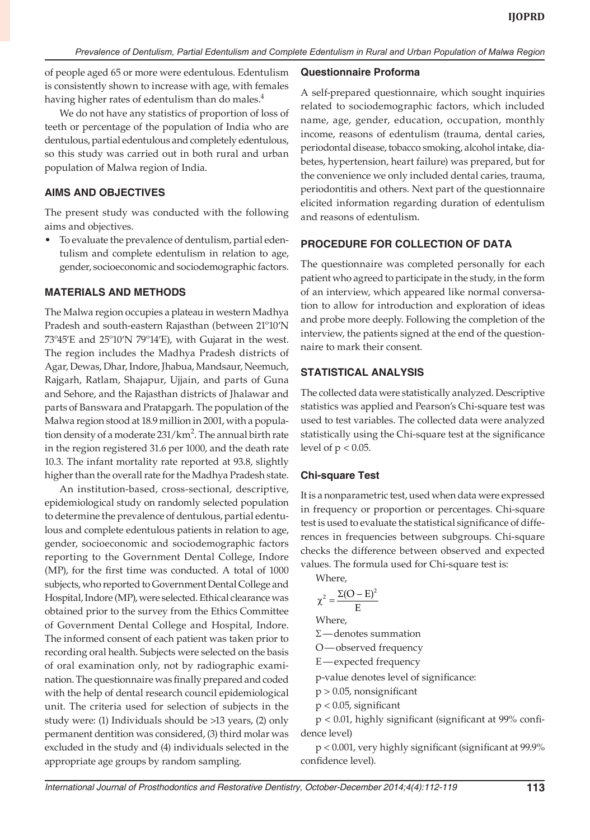of people aged 65 or more were edentulous. Edentulism is consistently shown to increase with age, with females having higher rates of edentulism than do males.<sup>4</sup>

We do not have any statistics of proportion of loss of teeth or percentage of the population of India who are dentulous, partial edentulous and completely edentulous, so this study was carried out in both rural and urban population of Malwa region of India.

## **AIMS AND OBJECTIVES**

The present study was conducted with the following aims and objectives.

• To evaluate the prevalence of dentulism, partial edentulism and complete edentulism in relation to age, gender, socioeconomic and sociodemographic factors.

## **MATERIALS AND METHODS**

The Malwa region occupies a plateau in western Madhya Pradesh and south-eastern Rajasthan (between 21º10′N 73º45′E and 25º10′N 79º14′E), with Gujarat in the west. The region includes the Madhya Pradesh districts of Agar, Dewas, Dhar, Indore, Jhabua, Mandsaur, Neemuch, Rajgarh, Ratlam, Shajapur, Ujjain, and parts of Guna and Sehore, and the Rajasthan districts of Jhalawar and parts of Banswara and Pratapgarh. The population of the Malwa region stood at 18.9 million in 2001, with a population density of a moderate 231/km<sup>2</sup>. The annual birth rate in the region registered 31.6 per 1000, and the death rate 10.3. The infant mortality rate reported at 93.8, slightly higher than the overall rate for the Madhya Pradesh state.

An institution-based, cross-sectional, descriptive, epidemiological study on randomly selected population to determine the prevalence of dentulous, partial edentulous and complete edentulous patients in relation to age, gender, socioeconomic and sociodemographic factors reporting to the Government Dental College, Indore (MP), for the first time was conducted. A total of 1000 subjects, who reported to Government Dental College and Hospital, Indore (MP), were selected. Ethical clearance was obtained prior to the survey from the Ethics Committee of Government Dental College and Hospital, Indore. The informed consent of each patient was taken prior to recording oral health. Subjects were selected on the basis of oral examination only, not by radiographic examination. The questionnaire was finally prepared and coded with the help of dental research council epidemiological unit. The criteria used for selection of subjects in the study were: (1) Individuals should be >13 years, (2) only permanent dentition was considered, (3) third molar was excluded in the study and (4) individuals selected in the appropriate age groups by random sampling.

# **Questionnaire Proforma**

A self-prepared questionnaire, which sought inquiries related to sociodemographic factors, which included name, age, gender, education, occupation, monthly income, reasons of edentulism (trauma, dental caries, periodontal disease, tobacco smoking, alcohol intake, diabetes, hypertension, heart failure) was prepared, but for the convenience we only included dental caries, trauma, periodontitis and others. Next part of the questionnaire elicited information regarding duration of edentulism and reasons of edentulism.

# **PROCEDURE FOR COLLECTION OF DATA**

The questionnaire was completed personally for each patient who agreed to participate in the study, in the form of an interview, which appeared like normal conversation to allow for introduction and exploration of ideas and probe more deeply. Following the completion of the interview, the patients signed at the end of the questionnaire to mark their consent.

## **STATISTICAL ANALYSIS**

The collected data were statistically analyzed. Descriptive statistics was applied and Pearson's Chi-square test was used to test variables. The collected data were analyzed statistically using the Chi-square test at the significance level of  $p < 0.05$ .

# **Chi-square Test**

It is a nonparametric test, used when data were expressed in frequency or proportion or percentages. Chi-square test is used to evaluate the statistical significance of differences in frequencies between subgroups. Chi-square checks the difference between observed and expected values. The formula used for Chi-square test is:

Where,

$$
\chi^2 = \frac{\Sigma (O - E)^2}{E}
$$

Where,

Σ —denotes summation

O—observed frequency

E—expected frequency

p-value denotes level of significance:

- p > 0.05, nonsignificant
- p < 0.05, significant

p < 0.01, highly significant (significant at 99% confidence level)

p < 0.001, very highly significant (significant at 99.9% confidence level).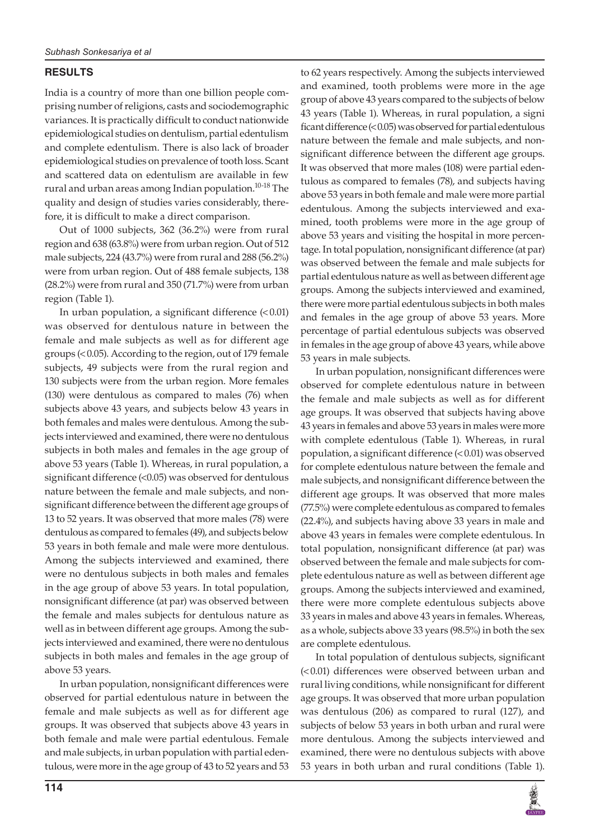# **RESULTS**

India is a country of more than one billion people comprising number of religions, casts and sociodemographic variances. It is practically difficult to conduct nationwide epidemiological studies on dentulism, partial edentulism and complete edentulism. There is also lack of broader epidemiological studies on prevalence of tooth loss. Scant and scattered data on edentulism are available in few rural and urban areas among Indian population.<sup>10-18</sup> The quality and design of studies varies considerably, therefore, it is difficult to make a direct comparison.

Out of 1000 subjects, 362 (36.2%) were from rural region and 638 (63.8%) were from urban region. Out of 512 male subjects, 224 (43.7%) were from rural and 288 (56.2%) were from urban region. Out of 488 female subjects, 138 (28.2%) were from rural and 350 (71.7%) were from urban region (Table 1).

In urban population, a significant difference  $(0.01)$ was observed for dentulous nature in between the female and male subjects as well as for different age groups (<0.05). According to the region, out of 179 female subjects, 49 subjects were from the rural region and 130 subjects were from the urban region. More females (130) were dentulous as compared to males (76) when subjects above 43 years, and subjects below 43 years in both females and males were dentulous. Among the subjects interviewed and examined, there were no dentulous subjects in both males and females in the age group of above 53 years (Table 1). Whereas, in rural population, a significant difference (<0.05) was observed for dentulous nature between the female and male subjects, and nonsignificant difference between the different age groups of 13 to 52 years. It was observed that more males (78) were dentulous as compared to females (49), and subjects below 53 years in both female and male were more dentulous. Among the subjects interviewed and examined, there were no dentulous subjects in both males and females in the age group of above 53 years. In total population, nonsignificant difference (at par) was observed between the female and males subjects for dentulous nature as well as in between different age groups. Among the subjects interviewed and examined, there were no dentulous subjects in both males and females in the age group of above 53 years.

In urban population, nonsignificant differences were observed for partial edentulous nature in between the female and male subjects as well as for different age groups. It was observed that subjects above 43 years in both female and male were partial edentulous. Female and male subjects, in urban population with partial edentulous, were more in the age group of 43 to 52 years and 53 to 62 years respectively. Among the subjects interviewed and examined, tooth problems were more in the age group of above 43 years compared to the subjects of below 43 years (Table 1). Whereas, in rural population, a signi ficant difference (<0.05) was observed for partial edentulous nature between the female and male subjects, and nonsignificant difference between the different age groups. It was observed that more males (108) were partial edentulous as compared to females (78), and subjects having above 53 years in both female and male were more partial edentulous. Among the subjects interviewed and examined, tooth problems were more in the age group of above 53 years and visiting the hospital in more percentage. In total population, nonsignificant difference (at par) was observed between the female and male subjects for partial edentulous nature as well as between different age groups. Among the subjects interviewed and examined, there were more partial edentulous subjects in both males and females in the age group of above 53 years. More percentage of partial edentulous subjects was observed in females in the age group of above 43 years, while above 53 years in male subjects.

In urban population, nonsignificant differences were observed for complete edentulous nature in between the female and male subjects as well as for different age groups. It was observed that subjects having above 43 years in females and above 53 years in males were more with complete edentulous (Table 1). Whereas, in rural population, a significant difference (<0.01) was observed for complete edentulous nature between the female and male subjects, and nonsignificant difference between the different age groups. It was observed that more males (77.5%) were complete edentulous as compared to females (22.4%), and subjects having above 33 years in male and above 43 years in females were complete edentulous. In total population, nonsignificant difference (at par) was observed between the female and male subjects for complete edentulous nature as well as between different age groups. Among the subjects interviewed and examined, there were more complete edentulous subjects above 33 years in males and above 43 years in females. Whereas, as a whole, subjects above 33 years (98.5%) in both the sex are complete edentulous.

In total population of dentulous subjects, significant (<0.01) differences were observed between urban and rural living conditions, while nonsignificant for different age groups. It was observed that more urban population was dentulous (206) as compared to rural (127), and subjects of below 53 years in both urban and rural were more dentulous. Among the subjects interviewed and examined, there were no dentulous subjects with above 53 years in both urban and rural conditions (Table 1).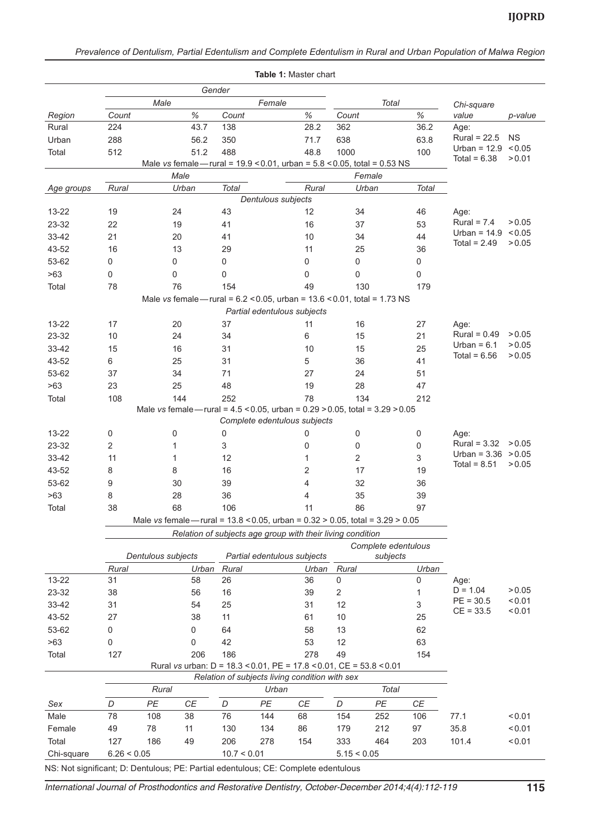|                                                                                                       |             |                                                                          |       |              | Table 1: Master chart                                                                 |              |              |              |       |                                         |                     |
|-------------------------------------------------------------------------------------------------------|-------------|--------------------------------------------------------------------------|-------|--------------|---------------------------------------------------------------------------------------|--------------|--------------|--------------|-------|-----------------------------------------|---------------------|
|                                                                                                       | Gender      |                                                                          |       |              |                                                                                       |              |              |              |       |                                         |                     |
|                                                                                                       | Male        |                                                                          |       | Female       |                                                                                       |              | <b>Total</b> |              |       | Chi-square                              |                     |
| Region                                                                                                | Count       |                                                                          | $\%$  | Count        |                                                                                       | $\%$         | Count        |              | $\%$  | value                                   | p-value             |
| Rural                                                                                                 | 224         |                                                                          | 43.7  | 138          |                                                                                       | 28.2         | 362          |              | 36.2  | Age:                                    |                     |
| Urban                                                                                                 | 288         |                                                                          | 56.2  | 350          |                                                                                       | 71.7         | 638          |              | 63.8  | Rural = $22.5$<br>Urban = $12.9$        | <b>NS</b><br>< 0.05 |
| Total                                                                                                 | 512         |                                                                          | 51.2  | 488          |                                                                                       | 48.8         | 1000         |              | 100   | Total = $6.38$                          | > 0.01              |
| Male vs female - rural = $19.9 \le 0.01$ , urban = $5.8 \le 0.05$ , total = 0.53 NS<br>Male<br>Female |             |                                                                          |       |              |                                                                                       |              |              |              |       |                                         |                     |
|                                                                                                       |             |                                                                          |       |              |                                                                                       |              |              |              |       |                                         |                     |
| Age groups                                                                                            | Rural       |                                                                          | Urban | <b>Total</b> | Dentulous subjects                                                                    | Rural        |              | Urban        | Total |                                         |                     |
| 13-22                                                                                                 | 19          |                                                                          | 24    | 43           |                                                                                       | 12           | 34           |              | 46    | Age:                                    |                     |
| 23-32                                                                                                 | 22          |                                                                          | 19    | 41           |                                                                                       | 16           | 37           |              | 53    | Rural = $7.4$                           | > 0.05              |
| 33-42                                                                                                 | 21          |                                                                          | 20    | 41           |                                                                                       | 10           | 34           |              | 44    | Urban = $14.9$                          | < 0.05              |
| 43-52                                                                                                 | 16          |                                                                          | 13    | 29           |                                                                                       | 11           | 25           |              | 36    | Total = $2.49$                          | > 0.05              |
| 53-62                                                                                                 | 0           |                                                                          | 0     | $\mathsf 0$  |                                                                                       | 0            | $\mathbf 0$  |              | 0     |                                         |                     |
| >63                                                                                                   | 0           |                                                                          | 0     | $\mathbf 0$  |                                                                                       | 0            | 0            |              | 0     |                                         |                     |
| Total                                                                                                 | 78          |                                                                          | 76    | 154          |                                                                                       | 49           |              | 130          | 179   |                                         |                     |
|                                                                                                       |             |                                                                          |       |              | Male vs female - rural = $6.2 \le 0.05$ , urban = $13.6 \le 0.01$ , total = 1.73 NS   |              |              |              |       |                                         |                     |
|                                                                                                       |             |                                                                          |       |              | Partial edentulous subjects                                                           |              |              |              |       |                                         |                     |
| 13-22                                                                                                 | 17          |                                                                          | 20    | 37           |                                                                                       | 11           | 16           |              | 27    | Age:                                    |                     |
| 23-32                                                                                                 | 10          |                                                                          | 24    | 34           |                                                                                       | 6            | 15           |              | 21    | $Rural = 0.49$                          | > 0.05              |
| 33-42                                                                                                 | 15          |                                                                          | 16    | 31           |                                                                                       | 10           | 15           |              | 25    | Urban = $6.1$                           | > 0.05              |
| 43-52                                                                                                 | 6           |                                                                          | 25    | 31           |                                                                                       | 5            | 36           |              | 41    | Total = $6.56$                          | > 0.05              |
| 53-62                                                                                                 | 37          |                                                                          | 34    | 71           |                                                                                       | 27           | 24           |              | 51    |                                         |                     |
| >63                                                                                                   | 23          |                                                                          | 25    | 48           |                                                                                       | 19           | 28           |              | 47    |                                         |                     |
| Total                                                                                                 | 108         |                                                                          | 144   | 252          |                                                                                       | 78           |              | 134          | 212   |                                         |                     |
|                                                                                                       |             |                                                                          |       |              | Male vs female - rural = $4.5 < 0.05$ , urban = $0.29 > 0.05$ , total = $3.29 > 0.05$ |              |              |              |       |                                         |                     |
|                                                                                                       |             |                                                                          |       |              | Complete edentulous subjects                                                          |              |              |              |       |                                         |                     |
| 13-22                                                                                                 | 0           |                                                                          | 0     | 0            |                                                                                       | 0            | $\pmb{0}$    |              | 0     | Age:                                    |                     |
| 23-32                                                                                                 | 2           |                                                                          | 1     | 3            |                                                                                       | 0            | 0            |              | 0     | Rural = $3.32$                          | > 0.05              |
| 33-42                                                                                                 | 11          |                                                                          | 1     | 12           |                                                                                       | $\mathbf{1}$ | 2            |              | 3     | Urban = $3.36$ > 0.05<br>Total = $8.51$ | > 0.05              |
| 43-52                                                                                                 | 8           |                                                                          | 8     | 16           |                                                                                       | 2            | 17           |              | 19    |                                         |                     |
| 53-62                                                                                                 | 9           |                                                                          | 30    | 39           |                                                                                       | 4            | 32           |              | 36    |                                         |                     |
| >63                                                                                                   | 8           |                                                                          | 28    | 36           |                                                                                       | 4            | 35           |              | 39    |                                         |                     |
| Total                                                                                                 | 38          |                                                                          | 68    | 106          |                                                                                       | 11           | 86           |              | 97    |                                         |                     |
|                                                                                                       |             |                                                                          |       |              | Male vs female - rural = 13.8 < 0.05, urban = 0.32 > 0.05, total = 3.29 > 0.05        |              |              |              |       |                                         |                     |
|                                                                                                       |             |                                                                          |       |              | Relation of subjects age group with their living condition                            |              |              |              |       |                                         |                     |
|                                                                                                       |             | Complete edentulous<br>Dentulous subjects<br>Partial edentulous subjects |       |              |                                                                                       |              |              |              |       |                                         |                     |
|                                                                                                       | Rural       |                                                                          | Urban | Rural        |                                                                                       | Urban        | Rural        | subjects     | Urban |                                         |                     |
| 13-22                                                                                                 | 31          |                                                                          | 58    | 26           |                                                                                       | 36           | 0            |              | 0     | Age:                                    |                     |
| 23-32                                                                                                 | 38          |                                                                          | 56    | 16           |                                                                                       | 39           | $\sqrt{2}$   |              | 1     | $D = 1.04$                              | > 0.05              |
| 33-42                                                                                                 | 31          |                                                                          | 54    | 25           |                                                                                       | 31           | 12           |              | 3     | $PE = 30.5$                             | < 0.01              |
| 43-52                                                                                                 | 27          |                                                                          | 38    | 11           |                                                                                       | 61           | 10           |              | 25    | $CE = 33.5$                             | < 0.01              |
| 53-62                                                                                                 | 0           |                                                                          | 0     | 64           |                                                                                       | 58           | 13           |              | 62    |                                         |                     |
| >63                                                                                                   | 0           |                                                                          | 0     | 42           |                                                                                       | 53           | 12           |              | 63    |                                         |                     |
| Total                                                                                                 | 127         |                                                                          | 206   | 186          |                                                                                       | 278          | 49           |              | 154   |                                         |                     |
|                                                                                                       |             |                                                                          |       |              | Rural vs urban: D = 18.3 < 0.01, PE = 17.8 < 0.01, CE = 53.8 < 0.01                   |              |              |              |       |                                         |                     |
| Relation of subjects living condition with sex                                                        |             |                                                                          |       |              |                                                                                       |              |              |              |       |                                         |                     |
|                                                                                                       |             | Rural                                                                    |       |              | Urban                                                                                 |              |              | <b>Total</b> |       |                                         |                     |
| Sex                                                                                                   | D           | PE                                                                       | СE    | D            | PE                                                                                    | $C\!E$       | D            | PE           | СE    |                                         |                     |
| Male                                                                                                  | 78          | 108                                                                      | 38    | 76           | 144                                                                                   | 68           | 154          | 252          | 106   | 77.1                                    | < 0.01              |
| Female                                                                                                | 49          | 78                                                                       | 11    | 130          | 134                                                                                   | 86           | 179          | 212          | 97    | 35.8                                    | < 0.01              |
| Total                                                                                                 | 127         | 186                                                                      | 49    | 206          | 278                                                                                   | 154          | 333          | 464          | 203   | 101.4                                   | 0.01                |
| Chi-square                                                                                            | 6.26 < 0.05 |                                                                          |       | 10.7 < 0.01  |                                                                                       |              | 5.15 < 0.05  |              |       |                                         |                     |
|                                                                                                       |             |                                                                          |       |              |                                                                                       |              |              |              |       |                                         |                     |

NS: Not significant; D: Dentulous; PE: Partial edentulous; CE: Complete edentulous

*International Journal of Prosthodontics and Restorative Dentistry, October-December 2014;4(4):112-119* **115**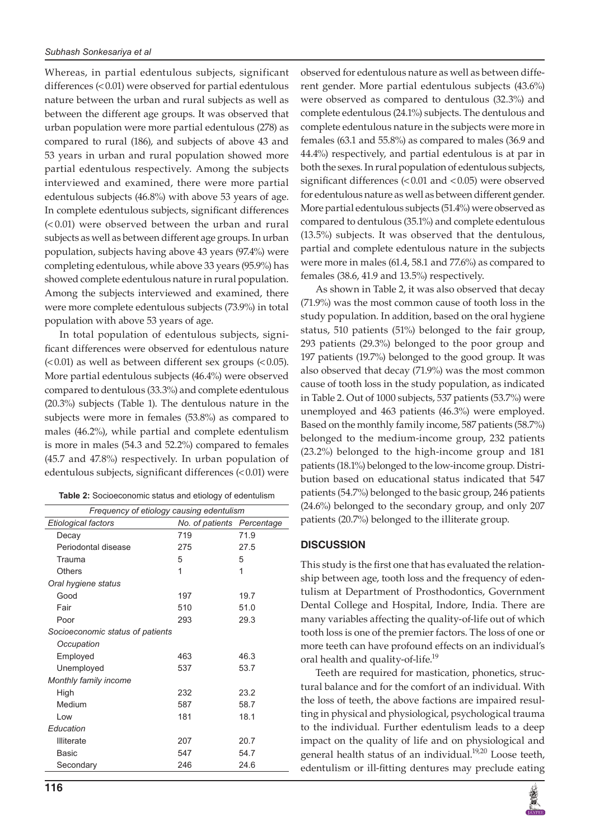Whereas, in partial edentulous subjects, significant differences (<0.01) were observed for partial edentulous nature between the urban and rural subjects as well as between the different age groups. It was observed that urban population were more partial edentulous (278) as compared to rural (186), and subjects of above 43 and 53 years in urban and rural population showed more partial edentulous respectively. Among the subjects interviewed and examined, there were more partial edentulous subjects (46.8%) with above 53 years of age. In complete edentulous subjects, significant differences (< 0.01) were observed between the urban and rural subjects as well as between different age groups. In urban population, subjects having above 43 years (97.4%) were completing edentulous, while above 33 years (95.9%) has showed complete edentulous nature in rural population. Among the subjects interviewed and examined, there were more complete edentulous subjects (73.9%) in total population with above 53 years of age.

In total population of edentulous subjects, significant differences were observed for edentulous nature  $\approx$  0.01) as well as between different sex groups  $\approx$  0.05). More partial edentulous subjects (46.4%) were observed compared to dentulous (33.3%) and complete edentulous (20.3%) subjects (Table 1). The dentulous nature in the subjects were more in females (53.8%) as compared to males (46.2%), while partial and complete edentulism is more in males (54.3 and 52.2%) compared to females (45.7 and 47.8%) respectively. In urban population of edentulous subjects, significant differences (<0.01) were

| Table 2: Socioeconomic status and etiology of edentulism |  |
|----------------------------------------------------------|--|
|----------------------------------------------------------|--|

| Frequency of etiology causing edentulism |                 |            |  |  |  |  |
|------------------------------------------|-----------------|------------|--|--|--|--|
| Etiological factors                      | No. of patients | Percentage |  |  |  |  |
| Decay                                    | 719             | 71.9       |  |  |  |  |
| Periodontal disease                      | 275             | 27.5       |  |  |  |  |
| Trauma                                   | 5               | 5          |  |  |  |  |
| Others                                   | 1               | 1          |  |  |  |  |
| Oral hygiene status                      |                 |            |  |  |  |  |
| Good                                     | 197             | 19.7       |  |  |  |  |
| Fair                                     | 510             | 51.0       |  |  |  |  |
| Poor                                     | 293             | 29.3       |  |  |  |  |
| Socioeconomic status of patients         |                 |            |  |  |  |  |
| Occupation                               |                 |            |  |  |  |  |
| Employed                                 | 463             | 46.3       |  |  |  |  |
| Unemployed                               | 537             | 53.7       |  |  |  |  |
| Monthly family income                    |                 |            |  |  |  |  |
| High                                     | 232             | 23.2       |  |  |  |  |
| Medium                                   | 587             | 58.7       |  |  |  |  |
| Low                                      | 181             | 18.1       |  |  |  |  |
| Education                                |                 |            |  |  |  |  |
| <b>Illiterate</b>                        | 207             | 20.7       |  |  |  |  |
| Basic                                    | 547             | 54.7       |  |  |  |  |
| Secondary                                | 246             | 24.6       |  |  |  |  |

observed for edentulous nature as well as between different gender. More partial edentulous subjects (43.6%) were observed as compared to dentulous (32.3%) and complete edentulous (24.1%) subjects. The dentulous and complete edentulous nature in the subjects were more in females (63.1 and 55.8%) as compared to males (36.9 and 44.4%) respectively, and partial edentulous is at par in both the sexes. In rural population of edentulous subjects, significant differences (<0.01 and <0.05) were observed for edentulous nature as well as between different gender. More partial edentulous subjects (51.4%) were observed as compared to dentulous (35.1%) and complete edentulous (13.5%) subjects. It was observed that the dentulous, partial and complete edentulous nature in the subjects were more in males (61.4, 58.1 and 77.6%) as compared to females (38.6, 41.9 and 13.5%) respectively.

As shown in Table 2, it was also observed that decay (71.9%) was the most common cause of tooth loss in the study population. In addition, based on the oral hygiene status, 510 patients (51%) belonged to the fair group, 293 patients (29.3%) belonged to the poor group and 197 patients (19.7%) belonged to the good group. It was also observed that decay (71.9%) was the most common cause of tooth loss in the study population, as indicated in Table 2. Out of 1000 subjects, 537 patients (53.7%) were unemployed and 463 patients (46.3%) were employed. Based on the monthly family income, 587 patients (58.7%) belonged to the medium-income group, 232 patients (23.2%) belonged to the high-income group and 181 patients (18.1%) belonged to the low-income group. Distribution based on educational status indicated that 547 patients (54.7%) belonged to the basic group, 246 patients (24.6%) belonged to the secondary group, and only 207 patients (20.7%) belonged to the illiterate group.

#### **DISCUSSION**

This study is the first one that has evaluated the relationship between age, tooth loss and the frequency of edentulism at Department of Prosthodontics, Government Dental College and Hospital, Indore, India. There are many variables affecting the quality-of-life out of which tooth loss is one of the premier factors. The loss of one or more teeth can have profound effects on an individual's oral health and quality-of-life.19

Teeth are required for mastication, phonetics, structural balance and for the comfort of an individual. With the loss of teeth, the above factions are impaired resulting in physical and physiological, psychological trauma to the individual. Further edentulism leads to a deep impact on the quality of life and on physiological and general health status of an individual.<sup>19,20</sup> Loose teeth, edentulism or ill-fitting dentures may preclude eating

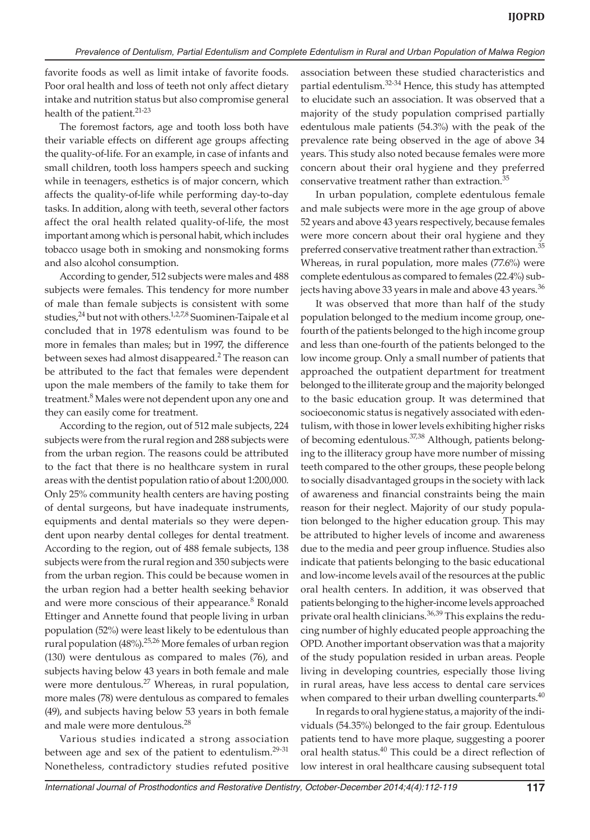favorite foods as well as limit intake of favorite foods. Poor oral health and loss of teeth not only affect dietary intake and nutrition status but also compromise general health of the patient.<sup>21-23</sup>

The foremost factors, age and tooth loss both have their variable effects on different age groups affecting the quality-of-life. For an example, in case of infants and small children, tooth loss hampers speech and sucking while in teenagers, esthetics is of major concern, which affects the quality-of-life while performing day-to-day tasks. In addition, along with teeth, several other factors affect the oral health related quality-of-life, the most important among which is personal habit, which includes tobacco usage both in smoking and nonsmoking forms and also alcohol consumption.

According to gender, 512 subjects were males and 488 subjects were females. This tendency for more number of male than female subjects is consistent with some studies, $24$  but not with others.<sup>1,2,7,8</sup> Suominen-Taipale et al concluded that in 1978 edentulism was found to be more in females than males; but in 1997, the difference between sexes had almost disappeared.<sup>2</sup> The reason can be attributed to the fact that females were dependent upon the male members of the family to take them for treatment.<sup>8</sup> Males were not dependent upon any one and they can easily come for treatment.

According to the region, out of 512 male subjects, 224 subjects were from the rural region and 288 subjects were from the urban region. The reasons could be attributed to the fact that there is no healthcare system in rural areas with the dentist population ratio of about 1:200,000. Only 25% community health centers are having posting of dental surgeons, but have inadequate instruments, equipments and dental materials so they were dependent upon nearby dental colleges for dental treatment. According to the region, out of 488 female subjects, 138 subjects were from the rural region and 350 subjects were from the urban region. This could be because women in the urban region had a better health seeking behavior and were more conscious of their appearance.<sup>8</sup> Ronald Ettinger and Annette found that people living in urban population (52%) were least likely to be edentulous than rural population (48%).<sup>25,26</sup> More females of urban region (130) were dentulous as compared to males (76), and subjects having below 43 years in both female and male were more dentulous.<sup>27</sup> Whereas, in rural population, more males (78) were dentulous as compared to females (49), and subjects having below 53 years in both female and male were more dentulous.<sup>28</sup>

Various studies indicated a strong association between age and sex of the patient to edentulism. $29-31$ Nonetheless, contradictory studies refuted positive association between these studied characteristics and partial edentulism.<sup>32-34</sup> Hence, this study has attempted to elucidate such an association. It was observed that a majority of the study population comprised partially edentulous male patients (54.3%) with the peak of the prevalence rate being observed in the age of above 34 years. This study also noted because females were more concern about their oral hygiene and they preferred conservative treatment rather than extraction.<sup>35</sup>

In urban population, complete edentulous female and male subjects were more in the age group of above 52 years and above 43 years respectively, because females were more concern about their oral hygiene and they preferred conservative treatment rather than extraction.<sup>35</sup> Whereas, in rural population, more males (77.6%) were complete edentulous as compared to females (22.4%) subjects having above 33 years in male and above 43 years.<sup>36</sup>

It was observed that more than half of the study population belonged to the medium income group, onefourth of the patients belonged to the high income group and less than one-fourth of the patients belonged to the low income group. Only a small number of patients that approached the outpatient department for treatment belonged to the illiterate group and the majority belonged to the basic education group. It was determined that socioeconomic status is negatively associated with edentulism, with those in lower levels exhibiting higher risks of becoming edentulous.37,38 Although, patients belonging to the illiteracy group have more number of missing teeth compared to the other groups, these people belong to socially disadvantaged groups in the society with lack of awareness and financial constraints being the main reason for their neglect. Majority of our study population belonged to the higher education group. This may be attributed to higher levels of income and awareness due to the media and peer group influence. Studies also indicate that patients belonging to the basic educational and low-income levels avail of the resources at the public oral health centers. In addition, it was observed that patients belonging to the higher-income levels approached private oral health clinicians.<sup>36,39</sup> This explains the reducing number of highly educated people approaching the OPD. Another important observation was that a majority of the study population resided in urban areas. People living in developing countries, especially those living in rural areas, have less access to dental care services when compared to their urban dwelling counterparts. $40$ 

In regards to oral hygiene status, a majority of the individuals (54.35%) belonged to the fair group. Edentulous patients tend to have more plaque, suggesting a poorer oral health status.<sup>40</sup> This could be a direct reflection of low interest in oral healthcare causing subsequent total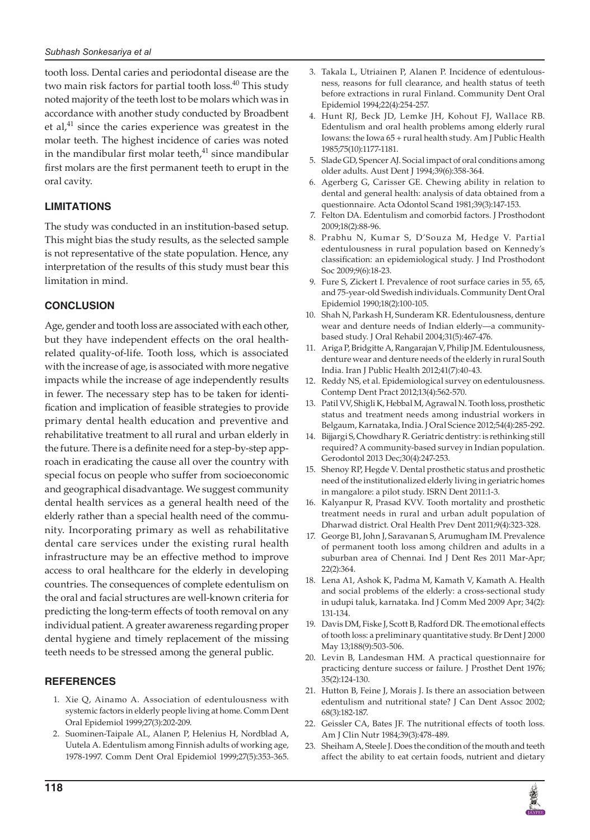tooth loss. Dental caries and periodontal disease are the two main risk factors for partial tooth  $loss.<sup>40</sup>$  This study noted majority of the teeth lost to be molars which was in accordance with another study conducted by Broadbent et al, $41$  since the caries experience was greatest in the molar teeth. The highest incidence of caries was noted in the mandibular first molar teeth, $41$  since mandibular first molars are the first permanent teeth to erupt in the oral cavity.

#### **LIMITATIONS**

The study was conducted in an institution-based setup. This might bias the study results, as the selected sample is not representative of the state population. Hence, any interpretation of the results of this study must bear this limitation in mind.

#### **CONCLUSION**

Age, gender and tooth loss are associated with each other, but they have independent effects on the oral healthrelated quality-of-life. Tooth loss, which is associated with the increase of age, is associated with more negative impacts while the increase of age independently results in fewer. The necessary step has to be taken for identification and implication of feasible strategies to provide primary dental health education and preventive and rehabilitative treatment to all rural and urban elderly in the future. There is a definite need for a step-by-step approach in eradicating the cause all over the country with special focus on people who suffer from socioeconomic and geographical disadvantage. We suggest community dental health services as a general health need of the elderly rather than a special health need of the community. Incorporating primary as well as rehabilitative dental care services under the existing rural health infrastructure may be an effective method to improve access to oral healthcare for the elderly in developing countries. The consequences of complete edentulism on the oral and facial structures are well-known criteria for predicting the long-term effects of tooth removal on any individual patient. A greater awareness regarding proper dental hygiene and timely replacement of the missing teeth needs to be stressed among the general public.

#### **REFERENCES**

- 1. Xie Q, Ainamo A. Association of edentulousness with systemic factors in elderly people living at home. Comm Dent Oral Epidemiol 1999;27(3):202-209.
- 2. Suominen-Taipale AL, Alanen P, Helenius H, Nordblad A, Uutela A. Edentulism among Finnish adults of working age, 1978-1997. Comm Dent Oral Epidemiol 1999;27(5):353-365.
- 3. Takala L, Utriainen P, Alanen P. Incidence of edentulousness, reasons for full clearance, and health status of teeth before extractions in rural Finland. Community Dent Oral Epidemiol 1994;22(4):254-257.
- Hunt RJ, Beck JD, Lemke JH, Kohout FJ, Wallace RB. Edentulism and oral health problems among elderly rural Iowans: the Iowa 65 + rural health study. Am J Public Health 1985;75(10):1177-1181.
- 5. Slade GD, Spencer AJ. Social impact of oral conditions among older adults. Aust Dent J 1994;39(6):358-364.
- 6. Agerberg G, Carisser GE. Chewing ability in relation to dental and general health: analysis of data obtained from a questionnaire. Acta Odontol Scand 1981;39(3):147-153.
- 7. Felton DA. Edentulism and comorbid factors. J Prosthodont 2009;18(2):88-96.
- 8. Prabhu N, Kumar S, D'Souza M, Hedge V. Partial edentulousness in rural population based on Kennedy's classification: an epidemiological study. J Ind Prosthodont Soc 2009;9(6):18-23.
- 9. Fure S, Zickert I. Prevalence of root surface caries in 55, 65, and 75-year-old Swedish individuals. Community Dent Oral Epidemiol 1990;18(2):100-105.
- 10. Shah N, Parkash H, Sunderam KR. Edentulousness, denture wear and denture needs of Indian elderly—a communitybased study. J Oral Rehabil 2004;31(5):467-476.
- 11. Ariga P, Bridgitte A, Rangarajan V, Philip JM. Edentulousness, denture wear and denture needs of the elderly in rural South India. Iran J Public Health 2012;41(7):40-43.
- 12. Reddy NS, et al. Epidemiological survey on edentulousness. Contemp Dent Pract 2012;13(4):562-570.
- 13. Patil VV, Shigli K, Hebbal M, Agrawal N. Tooth loss, prosthetic status and treatment needs among industrial workers in Belgaum, Karnataka, India. J Oral Science 2012;54(4):285-292.
- 14. Bijjargi S, Chowdhary R. Geriatric dentistry: is rethinking still required? A community-based survey in Indian population. Gerodontol 2013 Dec;30(4):247-253.
- 15. Shenoy RP, Hegde V. Dental prosthetic status and prosthetic need of the institutionalized elderly living in geriatric homes in mangalore: a pilot study. ISRN Dent 2011:1-3.
- 16. Kalyanpur R, Prasad KVV. Tooth mortality and prosthetic treatment needs in rural and urban adult population of Dharwad district. Oral Health Prev Dent 2011;9(4):323-328.
- 17. George B1, John J, Saravanan S, Arumugham IM. Prevalence of permanent tooth loss among children and adults in a suburban area of Chennai. Ind J Dent Res 2011 Mar-Apr; 22(2):364.
- 18. Lena A1, Ashok K, Padma M, Kamath V, Kamath A. Health and social problems of the elderly: a cross-sectional study in udupi taluk, karnataka. Ind J Comm Med 2009 Apr; 34(2): 131-134.
- 19. Davis DM, Fiske J, Scott B, Radford DR. The emotional effects of tooth loss: a preliminary quantitative study. Br Dent J 2000 May 13;188(9):503-506.
- 20. Levin B, Landesman HM. A practical questionnaire for practicing denture success or failure. J Prosthet Dent 1976; 35(2):124-130.
- 21. Hutton B, Feine J, Morais J. Is there an association between edentulism and nutritional state? J Can Dent Assoc 2002; 68(3):182-187.
- 22. Geissler CA, Bates JF. The nutritional effects of tooth loss. Am J Clin Nutr 1984;39(3):478-489.
- 23. Sheiham A, Steele J. Does the condition of the mouth and teeth affect the ability to eat certain foods, nutrient and dietary